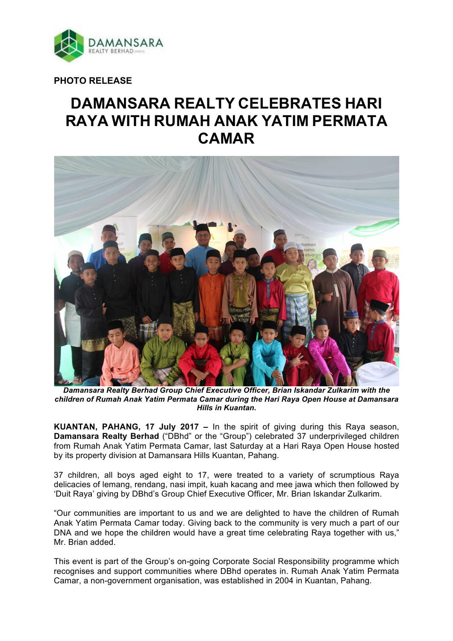

**PHOTO RELEASE**

# **DAMANSARA REALTY CELEBRATES HARI RAYA WITH RUMAH ANAK YATIM PERMATA CAMAR**



*Damansara Realty Berhad Group Chief Executive Officer, Brian Iskandar Zulkarim with the children of Rumah Anak Yatim Permata Camar during the Hari Raya Open House at Damansara Hills in Kuantan.*

**KUANTAN, PAHANG, 17 July 2017 –** In the spirit of giving during this Raya season, **Damansara Realty Berhad** ("DBhd" or the "Group") celebrated 37 underprivileged children from Rumah Anak Yatim Permata Camar, last Saturday at a Hari Raya Open House hosted by its property division at Damansara Hills Kuantan, Pahang.

37 children, all boys aged eight to 17, were treated to a variety of scrumptious Raya delicacies of lemang, rendang, nasi impit, kuah kacang and mee jawa which then followed by 'Duit Raya' giving by DBhd's Group Chief Executive Officer, Mr. Brian Iskandar Zulkarim.

"Our communities are important to us and we are delighted to have the children of Rumah Anak Yatim Permata Camar today. Giving back to the community is very much a part of our DNA and we hope the children would have a great time celebrating Raya together with us," Mr. Brian added.

This event is part of the Group's on-going Corporate Social Responsibility programme which recognises and support communities where DBhd operates in. Rumah Anak Yatim Permata Camar, a non-government organisation, was established in 2004 in Kuantan, Pahang.